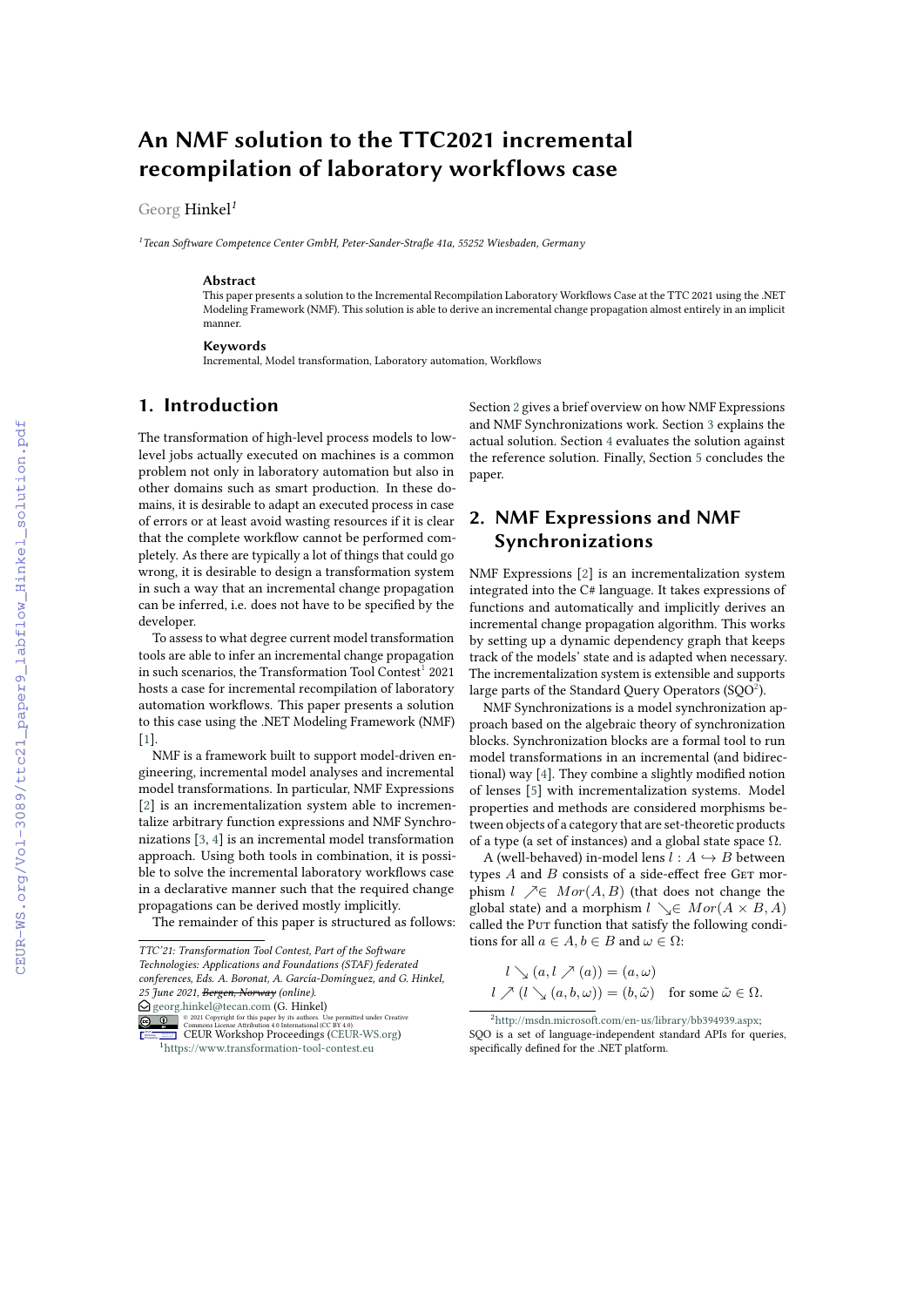# **An NMF solution to the TTC2021 incremental recompilation of laboratory workflows case**

Georg Hinkel*<sup>1</sup>*

*<sup>1</sup>Tecan Software Competence Center GmbH, Peter-Sander-Straße 41a, 55252 Wiesbaden, Germany*

#### **Abstract**

This paper presents a solution to the Incremental Recompilation Laboratory Workflows Case at the TTC 2021 using the .NET Modeling Framework (NMF). This solution is able to derive an incremental change propagation almost entirely in an implicit manner.

#### **Keywords**

Incremental, Model transformation, Laboratory automation, Workflows

# **1. Introduction**

The transformation of high-level process models to lowlevel jobs actually executed on machines is a common problem not only in laboratory automation but also in other domains such as smart production. In these domains, it is desirable to adapt an executed process in case of errors or at least avoid wasting resources if it is clear that the complete workflow cannot be performed completely. As there are typically a lot of things that could go wrong, it is desirable to design a transformation system in such a way that an incremental change propagation can be inferred, i.e. does not have to be specified by the developer.

To assess to what degree current model transformation tools are able to infer an incremental change propagation in such scenarios, the Transformation Tool Contest<sup>[1](#page-0-0)</sup> 2021 hosts a case for incremental recompilation of laboratory automation workflows. This paper presents a solution to this case using the .NET Modeling Framework (NMF)  $[1]$ 

NMF is a framework built to support model-driven engineering, incremental model analyses and incremental model transformations. In particular, NMF Expressions [\[2\]](#page--1-1) is an incrementalization system able to incrementalize arbitrary function expressions and NMF Synchronizations [\[3,](#page--1-2) [4\]](#page--1-3) is an incremental model transformation approach. Using both tools in combination, it is possible to solve the incremental laboratory workflows case in a declarative manner such that the required change propagations can be derived mostly implicitly.

The remainder of this paper is structured as follows:

 $\bigcirc$  [georg.hinkel@tecan.com](mailto:georg.hinkel@tecan.com) (G. Hinkel)

Section [2](#page-0-1) gives a brief overview on how NMF Expressions and NMF Synchronizations work. Section [3](#page--1-4) explains the actual solution. Section [4](#page--1-5) evaluates the solution against the reference solution. Finally, Section [5](#page--1-6) concludes the paper.

# <span id="page-0-1"></span>**2. NMF Expressions and NMF Synchronizations**

NMF Expressions [\[2\]](#page--1-1) is an incrementalization system integrated into the C# language. It takes expressions of functions and automatically and implicitly derives an incremental change propagation algorithm. This works by setting up a dynamic dependency graph that keeps track of the models' state and is adapted when necessary. The incrementalization system is extensible and supports large parts of the Standard Ouery Operators (SOO $^2$  $^2$ ).

NMF Synchronizations is a model synchronization approach based on the algebraic theory of synchronization blocks. Synchronization blocks are a formal tool to run model transformations in an incremental (and bidirectional) way [\[4\]](#page--1-3). They combine a slightly modified notion of lenses [\[5\]](#page--1-7) with incrementalization systems. Model properties and methods are considered morphisms between objects of a category that are set-theoretic products of a type (a set of instances) and a global state space  $\Omega$ .

A (well-behaved) in-model lens  $l : A \hookrightarrow B$  between types  $A$  and  $B$  consists of a side-effect free GET morphism  $l \nearrow \in Mor(A, B)$  (that does not change the global state) and a morphism  $l \searrow \in Mor(A \times B, A)$ called the Put function that satisfy the following conditions for all  $a \in A$ ,  $b \in B$  and  $\omega \in \Omega$ :

$$
l \searrow (a, l \nearrow (a)) = (a, \omega)
$$
  

$$
l \nearrow (l \searrow (a, b, \omega)) = (b, \tilde{\omega}) \text{ for some } \tilde{\omega} \in \Omega.
$$

*TTC'21: Transformation Tool Contest, Part of the Software Technologies: Applications and Foundations (STAF) federated conferences, Eds. A. Boronat, A. García-Domínguez, and G. Hinkel, 25 June 2021, Bergen, Norway (online).*

<sup>©</sup> 2021 Copyright for this paper by its authors. Use permitted under Creative Commons License Attribution 4.0 International (CC BY 4.0). CEUR Workshop Proceedings http://ceur-ws.org ISSN 1613-0073 CEUR Workshop Proceedings [\(CEUR-WS.org\)](http://ceur-ws.org)

<span id="page-0-0"></span><sup>1</sup><https://www.transformation-tool-contest.eu>

<span id="page-0-2"></span><sup>2</sup>[http://msdn.microsoft.com/en-us/library/bb394939.aspx;](http://msdn.microsoft.com/en-us/library/bb394939.aspx) SQO is a set of language-independent standard APIs for queries, specifically defined for the .NET platform.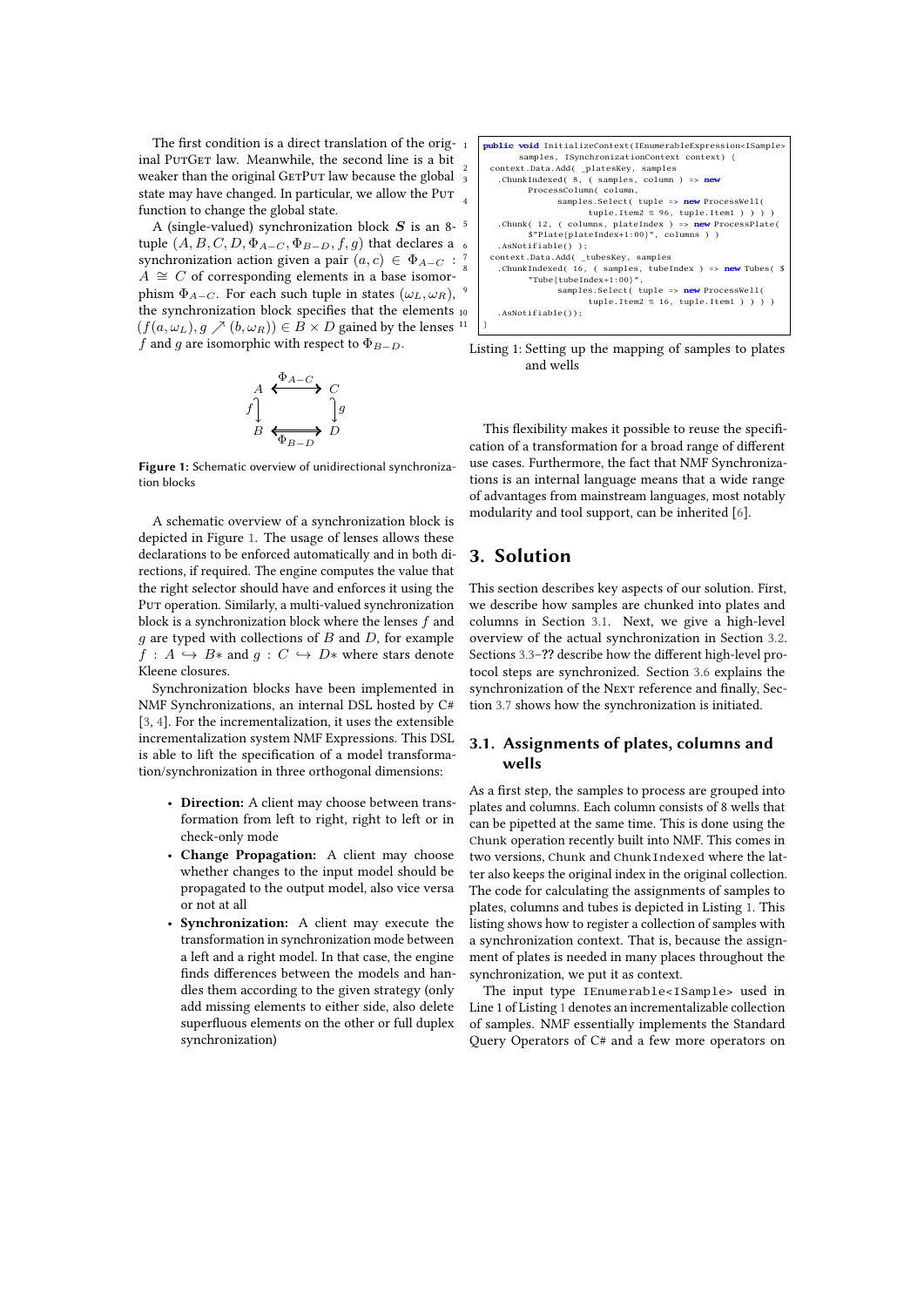The first condition is a direct translation of the original PutGet law. Meanwhile, the second line is a bit weaker than the original GETPUT law because the global  $\frac{2}{3}$ state may have changed. In particular, we allow the PuT  $_4$ function to change the global state.

A (single-valued) synchronization block  $S$  is an 8-<sup>5</sup> tuple  $(A, B, C, D, \Phi_{A-C}, \Phi_{B-D}, f, g)$  that declares a 6 synchronization action given a pair  $(a, c) \in \Phi_{A-C}$ :  $A \cong C$  of corresponding elements in a base isomorphism  $\Phi_{A-C}$ . For each such tuple in states  $(\omega_L, \omega_R)$ , the synchronization block specifies that the elements  $_{10}$  $(f(a, \omega_L), g \nearrow (b, \omega_R)) \in \overline{B} \times D$  gained by the lenses  $11 \mid \overline{B}$ f and g are isomorphic with respect to  $\Phi_{B-D}$ .

$$
\begin{array}{ccc}\nA & \xrightarrow{\Phi_{A-C}} & C \\
\uparrow & & \downarrow g \\
B & \xrightarrow{\text{F}} & D\n\end{array}
$$

<span id="page-1-0"></span>**Figure 1:** Schematic overview of unidirectional synchronization blocks

A schematic overview of a synchronization block is depicted in Figure [1.](#page-1-0) The usage of lenses allows these declarations to be enforced automatically and in both directions, if required. The engine computes the value that the right selector should have and enforces it using the Put operation. Similarly, a multi-valued synchronization block is a synchronization block where the lenses  $f$  and  $q$  are typed with collections of  $B$  and  $D$ , for example  $f : A \hookrightarrow B^*$  and  $g : C \hookrightarrow D^*$  where stars denote Kleene closures.

Synchronization blocks have been implemented in NMF Synchronizations, an internal DSL hosted by C# [\[3,](#page-7-0) [4\]](#page-7-1). For the incrementalization, it uses the extensible incrementalization system NMF Expressions. This DSL is able to lift the specification of a model transformation/synchronization in three orthogonal dimensions:

- **Direction:** A client may choose between transformation from left to right, right to left or in check-only mode
- **Change Propagation:** A client may choose whether changes to the input model should be propagated to the output model, also vice versa or not at all
- **Synchronization:** A client may execute the transformation in synchronization mode between a left and a right model. In that case, the engine finds differences between the models and handles them according to the given strategy (only add missing elements to either side, also delete superfluous elements on the other or full duplex synchronization)

<span id="page-1-2"></span>

Listing 1: Setting up the mapping of samples to plates and wells

This flexibility makes it possible to reuse the specification of a transformation for a broad range of different use cases. Furthermore, the fact that NMF Synchronizations is an internal language means that a wide range of advantages from mainstream languages, most notably modularity and tool support, can be inherited [\[6\]](#page-7-2).

# **3. Solution**

This section describes key aspects of our solution. First, we describe how samples are chunked into plates and columns in Section [3.1.](#page-1-1) Next, we give a high-level overview of the actual synchronization in Section [3.2.](#page-2-0) Sections [3.3–](#page-2-1)**??** describe how the different high-level protocol steps are synchronized. Section [3.6](#page-4-0) explains the synchronization of the NEXT reference and finally, Section [3.7](#page-5-0) shows how the synchronization is initiated.

#### <span id="page-1-1"></span>**3.1. Assignments of plates, columns and wells**

As a first step, the samples to process are grouped into plates and columns. Each column consists of 8 wells that can be pipetted at the same time. This is done using the Chunk operation recently built into NMF. This comes in two versions, Chunk and ChunkIndexed where the latter also keeps the original index in the original collection. The code for calculating the assignments of samples to plates, columns and tubes is depicted in Listing [1.](#page-1-2) This listing shows how to register a collection of samples with a synchronization context. That is, because the assignment of plates is needed in many places throughout the synchronization, we put it as context.

The input type IEnumerable<ISample> used in Line 1 of Listing [1](#page-1-2) denotes an incrementalizable collection of samples. NMF essentially implements the Standard Query Operators of C# and a few more operators on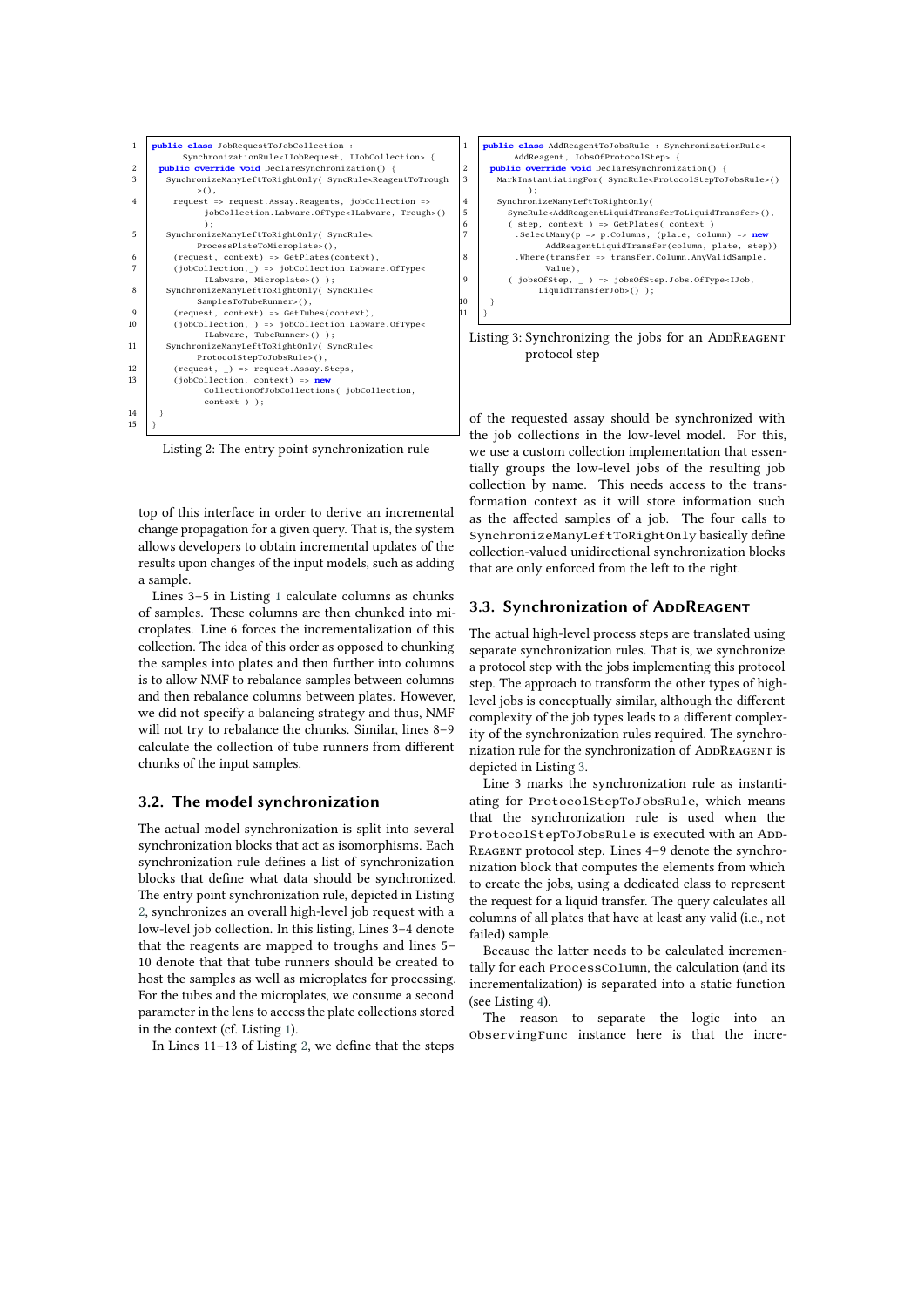```
1 public class JobRequestToJobCollection :
            SynchronizationRule<IJobRequest, IJobCollection> {
 2 public override void DeclareSynchronization() {
        3 SynchronizeManyLeftToRightOnly( SyncRule<ReagentToTrough
              \Rightarrow (),
 4 request => request.Assay.Reagents, jobCollection =>
                jobCollection.Labware.OfType<ILabware, Trough>()
 );
5 SynchronizeManyLeftToRightOnly( SyncRule<
 ProcessPlateToMicroplate>(),
6 (request, context) => GetPlates(context),
 7 (jobCollection,_) => jobCollection.Labware.OfType<
                ILabware, Microplate>() );
8 SynchronizeManyLeftToRightOnly( SyncRule<
          SamplesToTubeRunner>(),<br>(request context) => GetTub
                   , context) => GetTubes(context),
10 (jobCollection, _) => jobCollection.Labware.OfType<<br>
ILabware, TubeRunner>() );
11 SynchronizeManyLeftToRightOnly( SyncRule<
              ProtocolStepToJobsRule>(),
12 (request, _) => request.Assay.Steps,
13 (jobCollection, context) => n
                CollectionOfJobCollections( jobCollection,
                context ) );
14 }
15 }
```
Listing 2: The entry point synchronization rule

top of this interface in order to derive an incremental change propagation for a given query. That is, the system allows developers to obtain incremental updates of the results upon changes of the input models, such as adding a sample.

Lines 3–5 in Listing [1](#page-1-2) calculate columns as chunks of samples. These columns are then chunked into microplates. Line 6 forces the incrementalization of this collection. The idea of this order as opposed to chunking the samples into plates and then further into columns is to allow NMF to rebalance samples between columns and then rebalance columns between plates. However, we did not specify a balancing strategy and thus, NMF will not try to rebalance the chunks. Similar, lines 8–9 calculate the collection of tube runners from different chunks of the input samples.

#### <span id="page-2-0"></span>**3.2. The model synchronization**

The actual model synchronization is split into several synchronization blocks that act as isomorphisms. Each synchronization rule defines a list of synchronization blocks that define what data should be synchronized. The entry point synchronization rule, depicted in Listing [2,](#page-2-2) synchronizes an overall high-level job request with a low-level job collection. In this listing, Lines 3–4 denote that the reagents are mapped to troughs and lines 5– 10 denote that that tube runners should be created to host the samples as well as microplates for processing. For the tubes and the microplates, we consume a second parameter in the lens to access the plate collections stored in the context (cf. Listing [1\)](#page-1-2).

In Lines 11–13 of Listing [2,](#page-2-2) we define that the steps

```
1 public class AddReagentToJobsRule : SynchronizationRule<
              AddReagent, JobsOfProtocolStep> {
2 public override void DeclareSynchronization() {<br>3 harkInstantiatingFor( SyncRule<ProtocolStepTo.
         3 MarkInstantiatingFor( SyncRule<ProtocolStepToJobsRule>()
                 );
4 SynchronizeManyLeftToRightOnly(<br>SyncRule<AddReagentLiquidTran
            5 SyncRule<AddReagentLiquidTransferToLiquidTransfer>(),
 6 ( step, context ) => GetPlates( context )
7 .SelectMany(p => p.Columns, (plate, column) => new
 AddReagentLiquidTransfer(column, plate, step))
8 .Where(transfer => transfer.Column.AnyValidSample.
                     Value),
            (jobsOfStep, \_) => jobsOfStep. Jobs.OfType<II.LiquidTransferJob>() );
10 }
|11 \t|
```
Listing 3: Synchronizing the jobs for an ADDREAGENT protocol step

of the requested assay should be synchronized with the job collections in the low-level model. For this, we use a custom collection implementation that essentially groups the low-level jobs of the resulting job collection by name. This needs access to the transformation context as it will store information such as the affected samples of a job. The four calls to SynchronizeManyLeftToRightOnly basically define collection-valued unidirectional synchronization blocks that are only enforced from the left to the right.

### <span id="page-2-1"></span>**3.3. Synchronization of ADDREAGENT**

The actual high-level process steps are translated using separate synchronization rules. That is, we synchronize a protocol step with the jobs implementing this protocol step. The approach to transform the other types of highlevel jobs is conceptually similar, although the different complexity of the job types leads to a different complexity of the synchronization rules required. The synchronization rule for the synchronization of ADDREAGENT is depicted in Listing [3.](#page-2-3)

Line 3 marks the synchronization rule as instantiating for ProtocolStepToJobsRule, which means that the synchronization rule is used when the ProtocolStepToJobsRule is executed with an ADD-REAGENT protocol step. Lines 4-9 denote the synchronization block that computes the elements from which to create the jobs, using a dedicated class to represent the request for a liquid transfer. The query calculates all columns of all plates that have at least any valid (i.e., not failed) sample.

Because the latter needs to be calculated incrementally for each ProcessColumn, the calculation (and its incrementalization) is separated into a static function (see Listing [4\)](#page-3-0).

The reason to separate the logic into an ObservingFunc instance here is that the incre-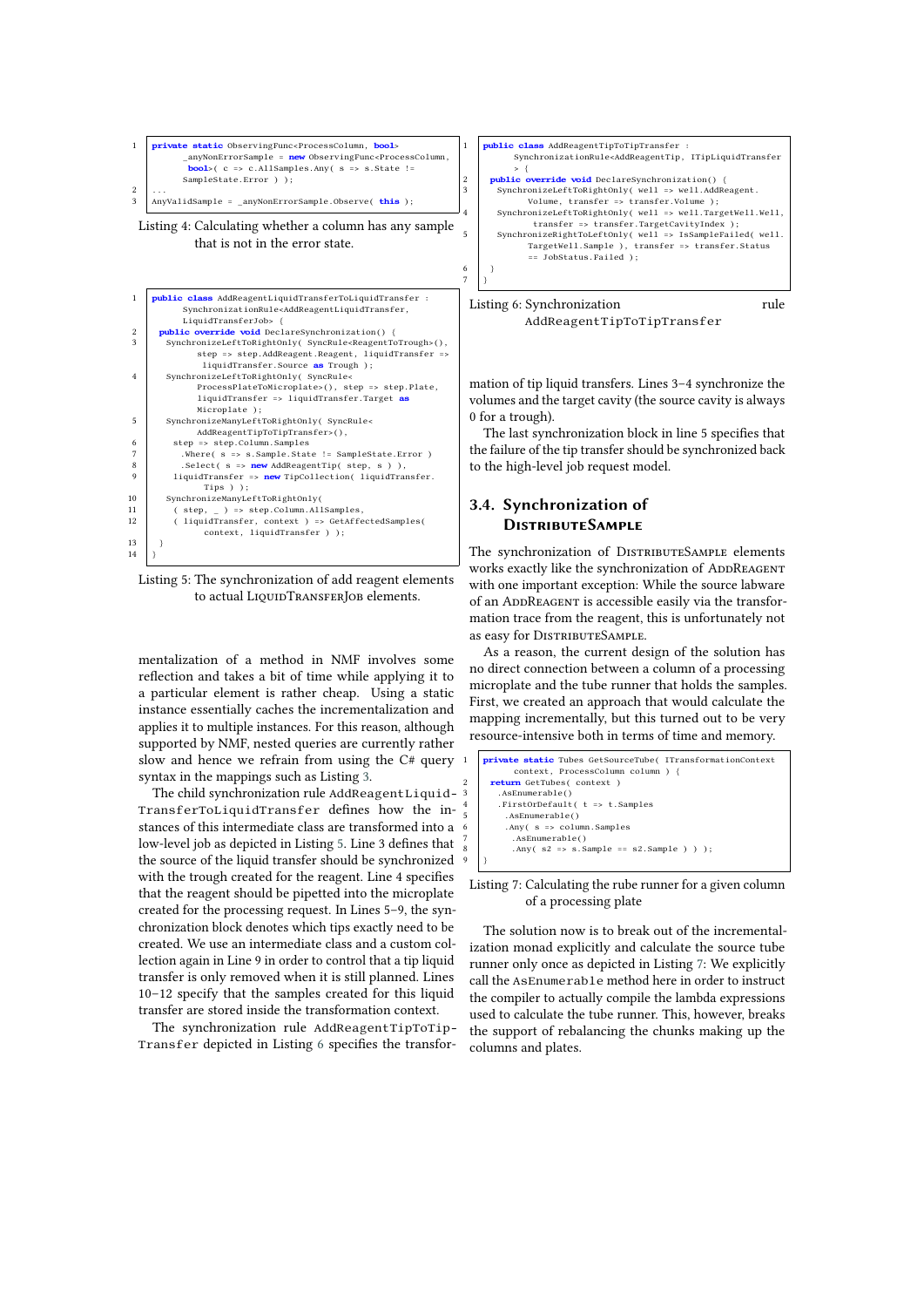<span id="page-3-0"></span>

<span id="page-3-1"></span>

Listing 5: The synchronization of add reagent elements to actual LIQUIDTRANSFERJOB elements.

mentalization of a method in NMF involves some reflection and takes a bit of time while applying it to a particular element is rather cheap. Using a static instance essentially caches the incrementalization and applies it to multiple instances. For this reason, although supported by NMF, nested queries are currently rather slow and hence we refrain from using the C# query syntax in the mappings such as Listing [3.](#page-2-3)

The child synchronization rule AddReagentLiquid-3 TransferToLiquidTransfer defines how the instances of this intermediate class are transformed into a low-level job as depicted in Listing [5.](#page-3-1) Line 3 defines that the source of the liquid transfer should be synchronized with the trough created for the reagent. Line 4 specifies that the reagent should be pipetted into the microplate created for the processing request. In Lines 5–9, the synchronization block denotes which tips exactly need to be created. We use an intermediate class and a custom collection again in Line 9 in order to control that a tip liquid transfer is only removed when it is still planned. Lines 10–12 specify that the samples created for this liquid transfer are stored inside the transformation context.

The synchronization rule AddReagentTipToTip-Transfer depicted in Listing [6](#page-3-2) specifies the transfor-

<span id="page-3-2"></span>

Listing 6: Synchronization rule AddReagentTipToTipTransfer

mation of tip liquid transfers. Lines 3–4 synchronize the volumes and the target cavity (the source cavity is always 0 for a trough).

The last synchronization block in line 5 specifies that the failure of the tip transfer should be synchronized back to the high-level job request model.

## **3.4. Synchronization of DistributeSample**

The synchronization of DISTRIBUTESAMPLE elements works exactly like the synchronization of ADDREAGENT with one important exception: While the source labware of an ADDREAGENT is accessible easily via the transformation trace from the reagent, this is unfortunately not as easy for DISTRIBUTESAMPLE.

As a reason, the current design of the solution has no direct connection between a column of a processing microplate and the tube runner that holds the samples. First, we created an approach that would calculate the mapping incrementally, but this turned out to be very resource-intensive both in terms of time and memory.

```
1 private static Tubes GetSourceTube( ITransformationContext
            context, ProcessColumn column ) {
        2 return GetTubes( context )
        .<br>
.AsEnumerable()
         4 .FirstOrDefault( t => t.Samples
          5 .AsEnumerable()
          6 .Any( s => column.Samples
            7 .AsEnumerable()
            \text{Any}(\text{ s2 } \Rightarrow \text{ s. Sample } == \text{ s2. Sample } ) );
9 }
```
Listing 7: Calculating the rube runner for a given column of a processing plate

The solution now is to break out of the incrementalization monad explicitly and calculate the source tube runner only once as depicted in Listing [7:](#page-3-3) We explicitly call the AsEnumerable method here in order to instruct the compiler to actually compile the lambda expressions used to calculate the tube runner. This, however, breaks the support of rebalancing the chunks making up the columns and plates.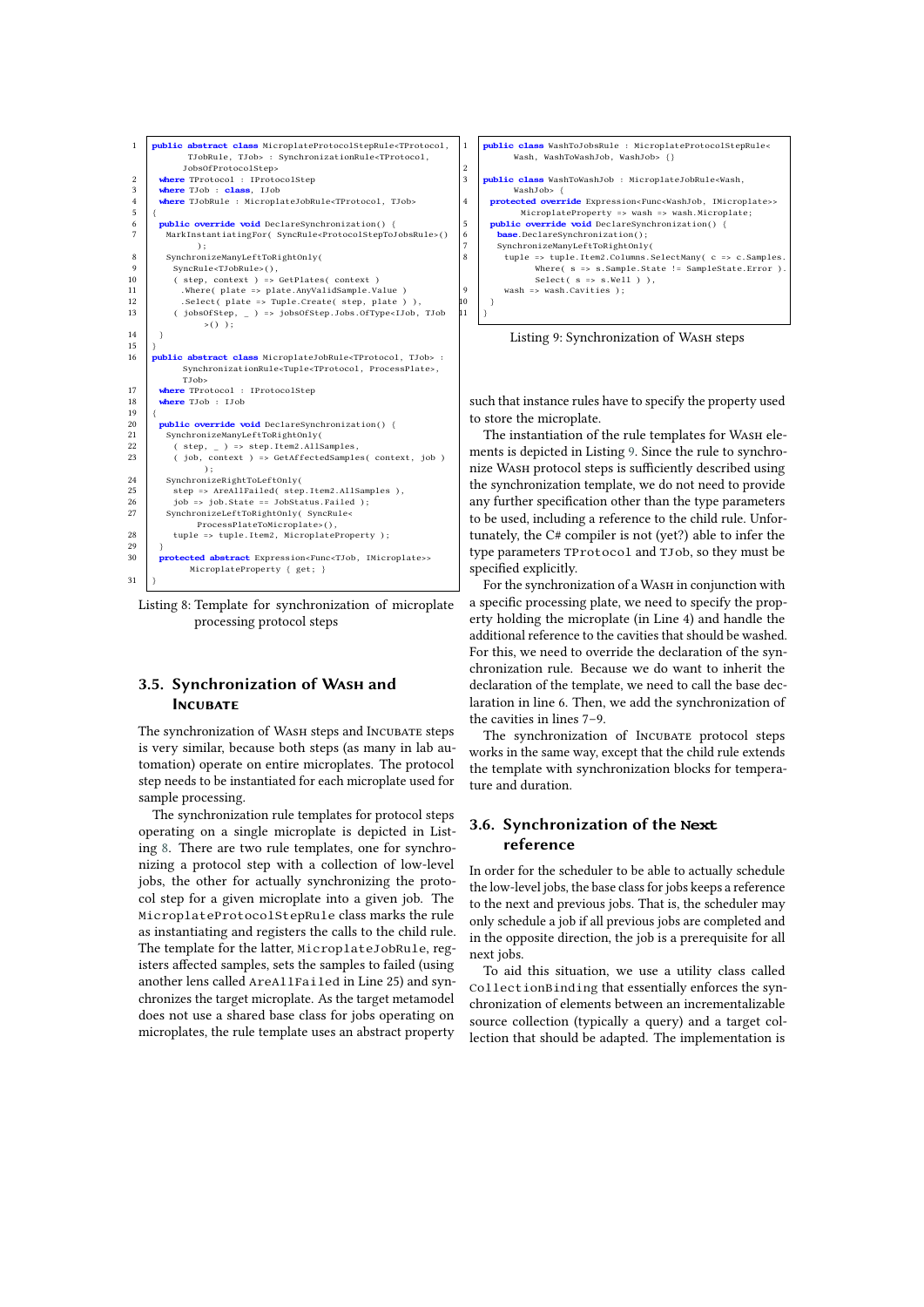<span id="page-4-1"></span>

Listing 8: Template for synchronization of microplate processing protocol steps

### **3.5. Synchronization of Wash and INCUBATE**

The synchronization of WASH steps and Incubate steps is very similar, because both steps (as many in lab automation) operate on entire microplates. The protocol step needs to be instantiated for each microplate used for sample processing.

The synchronization rule templates for protocol steps operating on a single microplate is depicted in Listing [8.](#page-4-1) There are two rule templates, one for synchronizing a protocol step with a collection of low-level jobs, the other for actually synchronizing the protocol step for a given microplate into a given job. The MicroplateProtocolStepRule class marks the rule as instantiating and registers the calls to the child rule. The template for the latter, MicroplateJobRule, registers affected samples, sets the samples to failed (using another lens called AreAllFailed in Line 25) and synchronizes the target microplate. As the target metamodel does not use a shared base class for jobs operating on microplates, the rule template uses an abstract property

<span id="page-4-2"></span>

Listing 9: Synchronization of WASH steps

such that instance rules have to specify the property used to store the microplate.

The instantiation of the rule templates for WASH elements is depicted in Listing [9.](#page-4-2) Since the rule to synchronize Wash protocol steps is sufficiently described using the synchronization template, we do not need to provide any further specification other than the type parameters to be used, including a reference to the child rule. Unfortunately, the C# compiler is not (yet?) able to infer the type parameters TProtocol and TJob, so they must be specified explicitly.

For the synchronization of a WASH in conjunction with a specific processing plate, we need to specify the property holding the microplate (in Line 4) and handle the additional reference to the cavities that should be washed. For this, we need to override the declaration of the synchronization rule. Because we do want to inherit the declaration of the template, we need to call the base declaration in line 6. Then, we add the synchronization of the cavities in lines 7–9.

The synchronization of Incubate protocol steps works in the same way, except that the child rule extends the template with synchronization blocks for temperature and duration.

## <span id="page-4-0"></span>**3.6. Synchronization of the Next reference**

In order for the scheduler to be able to actually schedule the low-level jobs, the base class for jobs keeps a reference to the next and previous jobs. That is, the scheduler may only schedule a job if all previous jobs are completed and in the opposite direction, the job is a prerequisite for all next jobs.

To aid this situation, we use a utility class called CollectionBinding that essentially enforces the synchronization of elements between an incrementalizable source collection (typically a query) and a target collection that should be adapted. The implementation is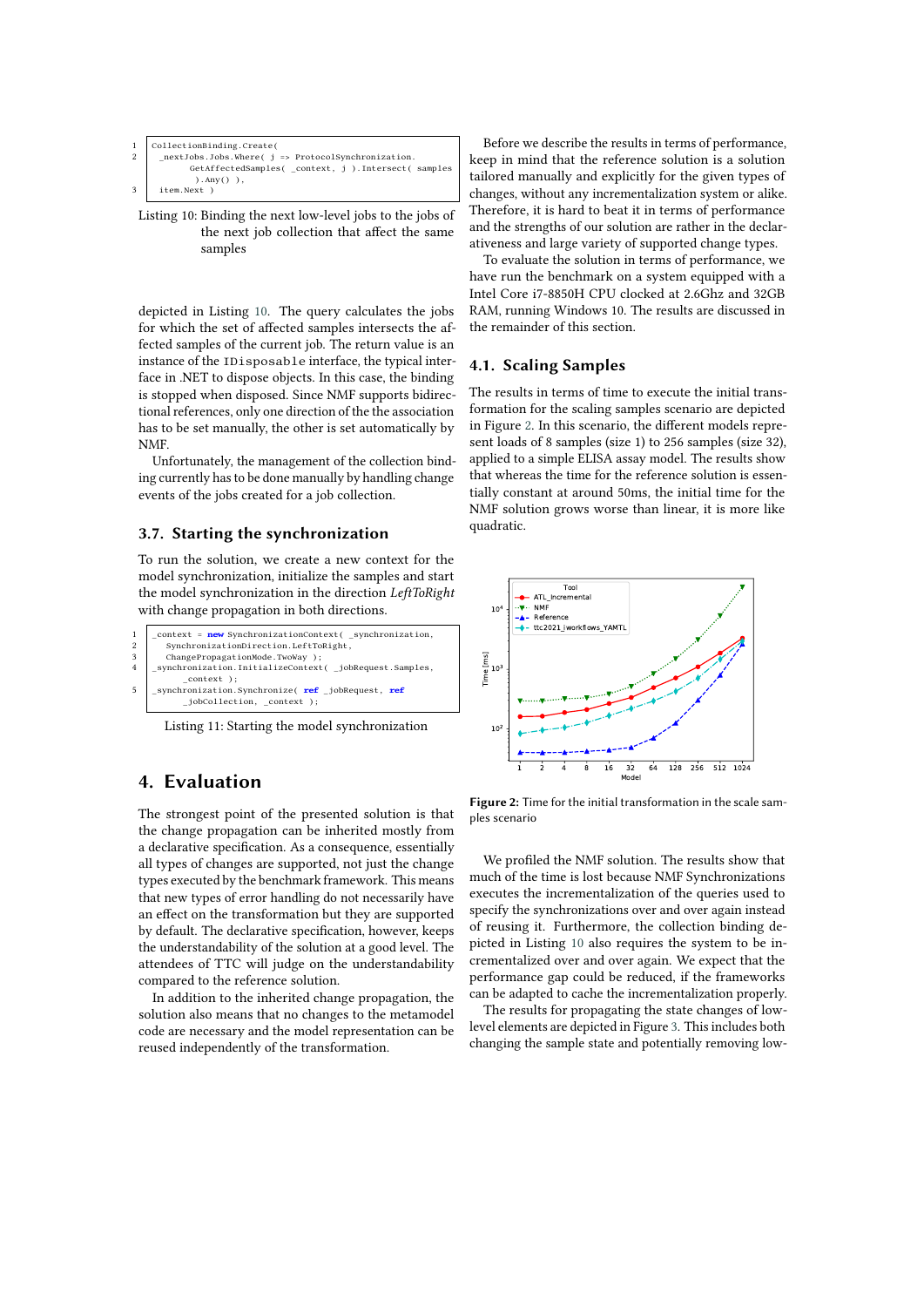<span id="page-5-1"></span>

| 1   CollectionBinding.Create(                                      |
|--------------------------------------------------------------------|
| 2   _nextJobs.Jobs.Where( $j \Rightarrow$ ProtocolSynchronization. |
| GetAffectedSamples( _context, j ). Intersect( samples              |
| $\lambda$ . Any $\lambda$ ),                                       |
| 3 item.Next)                                                       |
|                                                                    |

Listing 10: Binding the next low-level jobs to the jobs of the next job collection that affect the same samples

depicted in Listing [10.](#page-5-1) The query calculates the jobs for which the set of affected samples intersects the affected samples of the current job. The return value is an instance of the IDisposable interface, the typical interface in .NET to dispose objects. In this case, the binding is stopped when disposed. Since NMF supports bidirectional references, only one direction of the the association has to be set manually, the other is set automatically by NMF.

Unfortunately, the management of the collection binding currently has to be done manually by handling change events of the jobs created for a job collection.

### <span id="page-5-0"></span>**3.7. Starting the synchronization**

To run the solution, we create a new context for the model synchronization, initialize the samples and start the model synchronization in the direction *LeftToRight* with change propagation in both directions.

```
1 context = new SynchronizationContext( _synchronization, <br>2 SynchronizationDirection.LeftToRight,
3 | ChangePropagationMode.TwoWay );<br>4 | synchronization.InitializeContext( _jobRequest.Samples,
              _context );
5 | _synchronization.Synchronize( ref _jobRequest, ref_jobCollection, _context );
```
Listing 11: Starting the model synchronization

# **4. Evaluation**

The strongest point of the presented solution is that the change propagation can be inherited mostly from a declarative specification. As a consequence, essentially all types of changes are supported, not just the change types executed by the benchmark framework. This means that new types of error handling do not necessarily have an effect on the transformation but they are supported by default. The declarative specification, however, keeps the understandability of the solution at a good level. The attendees of TTC will judge on the understandability compared to the reference solution.

In addition to the inherited change propagation, the solution also means that no changes to the metamodel code are necessary and the model representation can be reused independently of the transformation.

Before we describe the results in terms of performance, keep in mind that the reference solution is a solution tailored manually and explicitly for the given types of changes, without any incrementalization system or alike. Therefore, it is hard to beat it in terms of performance and the strengths of our solution are rather in the declarativeness and large variety of supported change types.

To evaluate the solution in terms of performance, we have run the benchmark on a system equipped with a Intel Core i7-8850H CPU clocked at 2.6Ghz and 32GB RAM, running Windows 10. The results are discussed in the remainder of this section.

#### **4.1. Scaling Samples**

The results in terms of time to execute the initial transformation for the scaling samples scenario are depicted in Figure [2.](#page-5-2) In this scenario, the different models represent loads of 8 samples (size 1) to 256 samples (size 32), applied to a simple ELISA assay model. The results show that whereas the time for the reference solution is essentially constant at around 50ms, the initial time for the NMF solution grows worse than linear, it is more like quadratic.

<span id="page-5-2"></span>

**Figure 2:** Time for the initial transformation in the scale samples scenario

We profiled the NMF solution. The results show that much of the time is lost because NMF Synchronizations executes the incrementalization of the queries used to specify the synchronizations over and over again instead of reusing it. Furthermore, the collection binding depicted in Listing [10](#page-5-1) also requires the system to be incrementalized over and over again. We expect that the performance gap could be reduced, if the frameworks can be adapted to cache the incrementalization properly.

The results for propagating the state changes of lowlevel elements are depicted in Figure [3.](#page-6-0) This includes both changing the sample state and potentially removing low-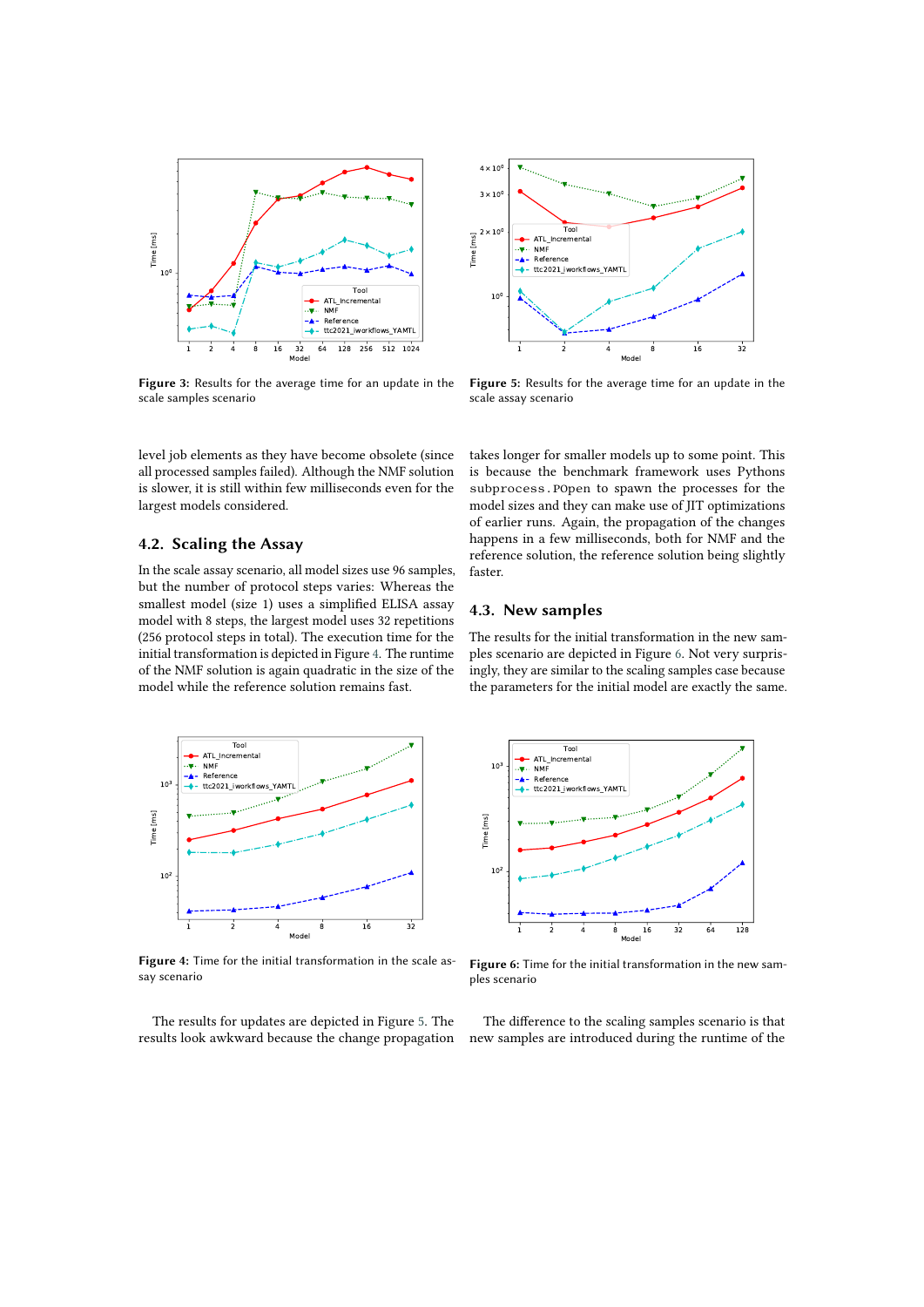<span id="page-6-0"></span>

**Figure 3:** Results for the average time for an update in the scale samples scenario

level job elements as they have become obsolete (since all processed samples failed). Although the NMF solution is slower, it is still within few milliseconds even for the largest models considered.

#### **4.2. Scaling the Assay**

In the scale assay scenario, all model sizes use 96 samples, but the number of protocol steps varies: Whereas the smallest model (size 1) uses a simplified ELISA assay model with 8 steps, the largest model uses 32 repetitions (256 protocol steps in total). The execution time for the initial transformation is depicted in Figure [4.](#page-6-1) The runtime of the NMF solution is again quadratic in the size of the model while the reference solution remains fast.

<span id="page-6-2"></span>

**Figure 5:** Results for the average time for an update in the scale assay scenario

takes longer for smaller models up to some point. This is because the benchmark framework uses Pythons subprocess.POpen to spawn the processes for the model sizes and they can make use of JIT optimizations of earlier runs. Again, the propagation of the changes happens in a few milliseconds, both for NMF and the reference solution, the reference solution being slightly faster.

### **4.3. New samples**

The results for the initial transformation in the new samples scenario are depicted in Figure [6.](#page-6-3) Not very surprisingly, they are similar to the scaling samples case because the parameters for the initial model are exactly the same.

<span id="page-6-1"></span>

**Figure 4:** Time for the initial transformation in the scale assay scenario

The results for updates are depicted in Figure [5.](#page-6-2) The results look awkward because the change propagation

<span id="page-6-3"></span>

**Figure 6:** Time for the initial transformation in the new samples scenario

The difference to the scaling samples scenario is that new samples are introduced during the runtime of the